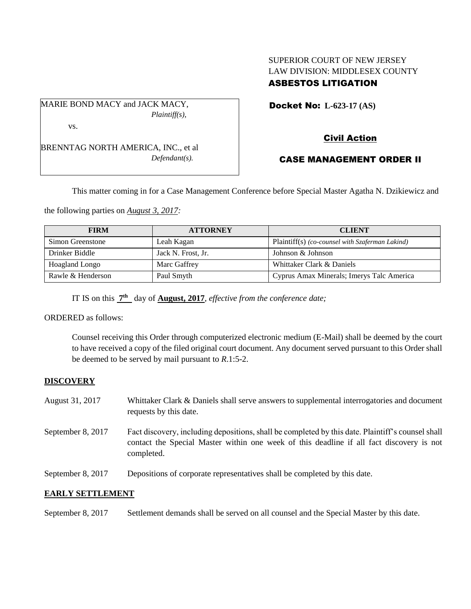# SUPERIOR COURT OF NEW JERSEY LAW DIVISION: MIDDLESEX COUNTY ASBESTOS LITIGATION

MARIE BOND MACY and JACK MACY, *Plaintiff(s),* vs.

BRENNTAG NORTH AMERICA, INC., et al *Defendant(s).*

Docket No: **L-623-17 (AS)** 

# Civil Action

# CASE MANAGEMENT ORDER II

This matter coming in for a Case Management Conference before Special Master Agatha N. Dzikiewicz and

the following parties on *August 3, 2017:*

| <b>FIRM</b>       | <b>ATTORNEY</b>    | <b>CLIENT</b>                                   |
|-------------------|--------------------|-------------------------------------------------|
| Simon Greenstone  | Leah Kagan         | Plaintiff(s) (co-counsel with Szaferman Lakind) |
| Drinker Biddle    | Jack N. Frost, Jr. | Johnson & Johnson                               |
| Hoagland Longo    | Marc Gaffrey       | Whittaker Clark & Daniels                       |
| Rawle & Henderson | Paul Smyth         | Cyprus Amax Minerals; Imerys Talc America       |

IT IS on this  $\frac{7^{\text{th}}}{7^{\text{th}}}$  day of **August, 2017**, *effective from the conference date*;

ORDERED as follows:

Counsel receiving this Order through computerized electronic medium (E-Mail) shall be deemed by the court to have received a copy of the filed original court document. Any document served pursuant to this Order shall be deemed to be served by mail pursuant to *R*.1:5-2.

## **DISCOVERY**

- August 31, 2017 Whittaker Clark & Daniels shall serve answers to supplemental interrogatories and document requests by this date.
- September 8, 2017 Fact discovery, including depositions, shall be completed by this date. Plaintiff's counsel shall contact the Special Master within one week of this deadline if all fact discovery is not completed.
- September 8, 2017 Depositions of corporate representatives shall be completed by this date.

## **EARLY SETTLEMENT**

September 8, 2017 Settlement demands shall be served on all counsel and the Special Master by this date.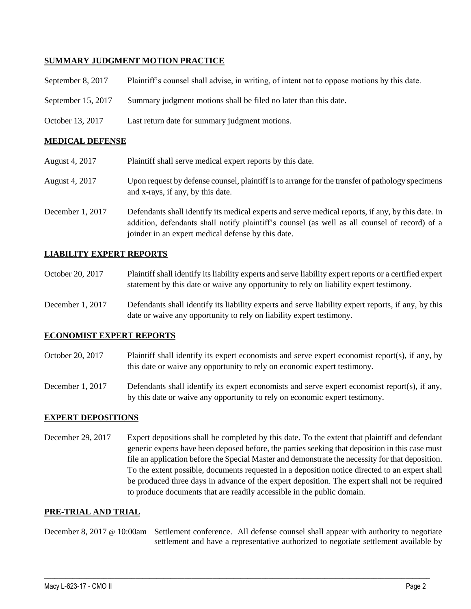### **SUMMARY JUDGMENT MOTION PRACTICE**

| September 8, 2017  | Plaintiff's counsel shall advise, in writing, of intent not to oppose motions by this date. |
|--------------------|---------------------------------------------------------------------------------------------|
| September 15, 2017 | Summary judgment motions shall be filed no later than this date.                            |
| October 13, 2017   | Last return date for summary judgment motions.                                              |

### **MEDICAL DEFENSE**

| August 4, 2017   | Plaintiff shall serve medical expert reports by this date.                                                                                                                                                                                               |
|------------------|----------------------------------------------------------------------------------------------------------------------------------------------------------------------------------------------------------------------------------------------------------|
| August 4, 2017   | Upon request by defense counsel, plaintiff is to arrange for the transfer of pathology specimens<br>and x-rays, if any, by this date.                                                                                                                    |
| December 1, 2017 | Defendants shall identify its medical experts and serve medical reports, if any, by this date. In<br>addition, defendants shall notify plaintiff's counsel (as well as all counsel of record) of a<br>joinder in an expert medical defense by this date. |

### **LIABILITY EXPERT REPORTS**

- October 20, 2017 Plaintiff shall identify its liability experts and serve liability expert reports or a certified expert statement by this date or waive any opportunity to rely on liability expert testimony.
- December 1, 2017 Defendants shall identify its liability experts and serve liability expert reports, if any, by this date or waive any opportunity to rely on liability expert testimony.

#### **ECONOMIST EXPERT REPORTS**

- October 20, 2017 Plaintiff shall identify its expert economists and serve expert economist report(s), if any, by this date or waive any opportunity to rely on economic expert testimony.
- December 1, 2017 Defendants shall identify its expert economists and serve expert economist report(s), if any, by this date or waive any opportunity to rely on economic expert testimony.

#### **EXPERT DEPOSITIONS**

December 29, 2017 Expert depositions shall be completed by this date. To the extent that plaintiff and defendant generic experts have been deposed before, the parties seeking that deposition in this case must file an application before the Special Master and demonstrate the necessity for that deposition. To the extent possible, documents requested in a deposition notice directed to an expert shall be produced three days in advance of the expert deposition. The expert shall not be required to produce documents that are readily accessible in the public domain.

#### **PRE-TRIAL AND TRIAL**

December 8, 2017 @ 10:00am Settlement conference. All defense counsel shall appear with authority to negotiate settlement and have a representative authorized to negotiate settlement available by

 $\_$  ,  $\_$  ,  $\_$  ,  $\_$  ,  $\_$  ,  $\_$  ,  $\_$  ,  $\_$  ,  $\_$  ,  $\_$  ,  $\_$  ,  $\_$  ,  $\_$  ,  $\_$  ,  $\_$  ,  $\_$  ,  $\_$  ,  $\_$  ,  $\_$  ,  $\_$  ,  $\_$  ,  $\_$  ,  $\_$  ,  $\_$  ,  $\_$  ,  $\_$  ,  $\_$  ,  $\_$  ,  $\_$  ,  $\_$  ,  $\_$  ,  $\_$  ,  $\_$  ,  $\_$  ,  $\_$  ,  $\_$  ,  $\_$  ,